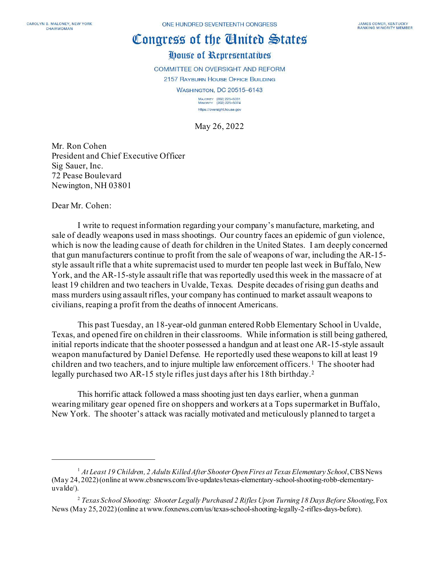## Congress of the Cinited States

## House of Representatives

**COMMITTEE ON OVERSIGHT AND REFORM** 

2157 RAYBURN HOUSE OFFICE BUILDING WASHINGTON, DC 20515-6143

> MAJORITY (202) 225-5051<br>MINORITY (202) 225-5074 https://oversight.house.gov

May 26, 2022

Mr. Ron Cohen President and Chief Executive Officer Sig Sauer, Inc. 72 Pease Boulevard Newington, NH 03801

Dear Mr. Cohen:

I write to request information regarding your company's manufacture, marketing, and sale of deadly weapons used in mass shootings. Our country faces an epidemic of gun violence, which is now the leading cause of death for children in the United States. I am deeply concerned that gun manufacturers continue to profit from the sale of weapons of war, including the AR-15 style assault rifle that a white supremacist used to murder ten people last week in Buffalo, New York, and the AR-15-style assault rifle that was reportedly used this week in the massacre of at least 19 children and two teachers in Uvalde, Texas. Despite decades of rising gun deaths and mass murders using assault rifles, your company has continued to market assault weapons to civilians, reaping a profit from the deaths of innocent Americans.

This past Tuesday, an 18-year-old gunman enteredRobb Elementary School in Uvalde, Texas, and opened fire on children in their classrooms. While information is still being gathered, initial reports indicate that the shooter possessed a handgun and at least one AR-15-style assault weapon manufactured by Daniel Defense. He reportedly used these weapons to kill at least 19 children and two teachers, and to injure multiple law enforcement officers. [1](#page-0-0) The shooter had legally purchased two AR-15 style rifles just days after his 18th birthday.[2](#page-0-1)

This horrific attack followed a mass shooting just ten days earlier, when a gunman wearing military gear opened fire on shoppers and workers at a Tops supermarket in Buffalo, New York. The shooter's attack was racially motivated and meticulously planned to target a

<span id="page-0-0"></span><sup>1</sup> *At Least 19 Children, 2 Adults Killed After Shooter Open Fires at Texas Elementary School*, CBS News (May 24, 2022) (online at www.cbsnews.com/live-updates/texas-elementary-school-shooting-robb-elementaryuvalde/).

<span id="page-0-1"></span><sup>2</sup> *Texas School Shooting: Shooter Legally Purchased 2 Rifles Upon Turning 18 Days Before Shooting*, Fox News (May 25, 2022) (online at www.foxnews.com/us/texas-school-shooting-legally-2-rifles-days-before).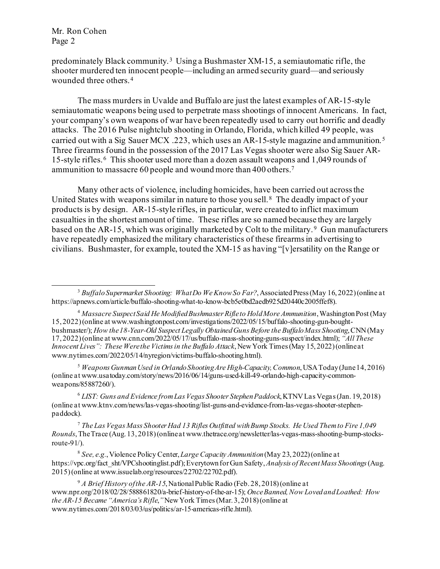predominately Black community. [3](#page-1-0) Using a Bushmaster XM-15, a semiautomatic rifle, the shooter murdered ten innocent people—including an armed security guard—and seriously wounded three others.[4](#page-1-1) 

The mass murders in Uvalde and Buffalo are just the latest examples of AR-15-style semiautomatic weapons being used to perpetrate mass shootings of innocent Americans. In fact, your company's own weapons of war have been repeatedly used to carry out horrific and deadly attacks. The 2016 Pulse nightclub shooting in Orlando, Florida, which killed 49 people, was carried out with a Sig Sauer MCX .223, which uses an AR-15-style magazine and ammunition.[5](#page-1-2) Three firearms found in the possession of the 2017 Las Vegas shooter were also Sig Sauer AR-15-style rifles.[6](#page-1-3) This shooter used more than a dozen assault weapons and 1,049 rounds of ammunition to massacre 60 people and wound more than 400 others.[7](#page-1-4) 

Many other acts of violence, including homicides, have been carried out across the United States with weapons similar in nature to those you sell.[8](#page-1-5) The deadly impact of your products is by design. AR-15-style rifles, in particular, were created to inflict maximum casualties in the shortest amount of time. These rifles are so named because they are largely based on the AR-15, which was originally marketed by Colt to the military.<sup>9</sup> Gun manufacturers have repeatedly emphasized the military characteristics of these firearmsin advertising to civilians. Bushmaster, for example, touted the XM-15 as having "[v]ersatility on the Range or

<span id="page-1-2"></span><sup>5</sup> *Weapons Gunman Used in Orlando Shooting Are High-Capacity, Common*, USA Today (June 14, 2016) (online at www.usatoday.com/story/news/2016/06/14/guns-used-kill-49-orlando-high-capacity-commonweapons/85887260/).

<span id="page-1-3"></span><sup>6</sup> *LIST: Guns and Evidence from Las Vegas Shooter Stephen Paddock*, KTNV Las Vegas (Jan. 19, 2018) (online at www.ktnv.com/news/las-vegas-shooting/list-guns-and-evidence-from-las-vegas-shooter-stephenpaddock).

<span id="page-1-4"></span><sup>7</sup> *The Las Vegas Mass Shooter Had 13 Rifles Outfitted with Bump Stocks. He Used Them to Fire 1,049 Rounds*, The Trace (Aug. 13, 2018) (online at www.thetrace.org/newsletter/las-vegas-mass-shooting-bump-stocksroute-91/).

<span id="page-1-5"></span><sup>8</sup> *See, e.g.*, Violence Policy Center, *Large Capacity Ammunition*(May 23, 2022) (online at https://vpc.org/fact\_sht/VPCshootinglist.pdf); Everytown for Gun Safety,*Analysis of Recent Mass Shootings*(Aug. 2015) (online at www.issuelab.org/resources/22702/22702.pdf).

<span id="page-1-6"></span><sup>9</sup> *A Brief History of the AR-15*, National Public Radio (Feb. 28, 2018) (online at www.npr.org/2018/02/28/588861820/a-brief-history-of-the-ar-15); *Once Banned, Now Loved and Loathed: How the AR-15 Became "America's Rifle*,*"*New York Times (Mar. 3, 2018) (online at www.nytimes.com/2018/03/03/us/politics/ar-15-americas-rifle.html).

<span id="page-1-0"></span><sup>3</sup> *Buffalo Supermarket Shooting: What Do We Know So Far?*, Associated Press (May 16, 2022) (online at https://apnews.com/article/buffalo-shooting-what-to-know-bcb5e0bd2aedb925d20440c2005ffef8).

<span id="page-1-1"></span><sup>4</sup> *Massacre Suspect Said He Modified Bushmaster Rifle to Hold More Ammunition*, Washington Post (May 15, 2022) (online at www.washingtonpost.com/investigations/2022/05/15/buffalo-shooting-gun-boughtbushmaster/); *How the 18-Year-Old Suspect Legally Obtained Guns Before the Buffalo Mass Shooting*, CNN (May 17, 2022) (online at www.cnn.com/2022/05/17/us/buffalo-mass-shooting-guns-suspect/index.html); *"All These Innocent Lives": These Were the Victims in the Buffalo Attack*, New York Times (May 15, 2022) (online at www.nytimes.com/2022/05/14/nyregion/victims-buffalo-shooting.html).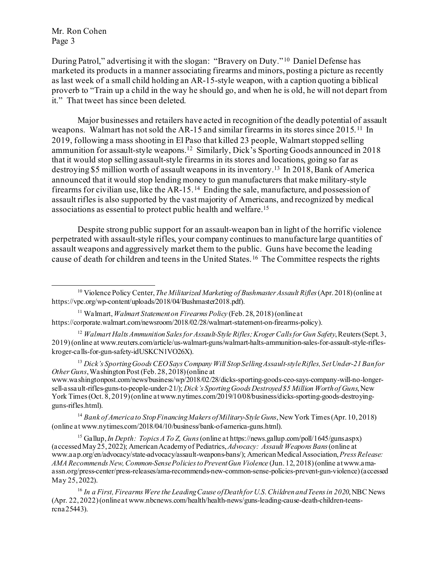During Patrol," advertising it with the slogan: "Bravery on Duty." [10](#page-2-0) Daniel Defense has marketed its products in a manner associating firearms and minors, posting a picture as recently as last week of a small child holding an AR-15-style weapon, with a caption quoting a biblical proverb to "Train up a child in the way he should go, and when he is old, he will not depart from it." That tweet has since been deleted.

Major businesses and retailers have acted in recognition of the deadly potential of assault weapons. Walmart has not sold the AR-15 and similar firearms in its stores since 2015.<sup>11</sup> In 2019, following a mass shooting in El Paso that killed 23 people, Walmart stopped selling ammunition for assault-style weapons.[12](#page-2-2) Similarly, Dick's Sporting Goods announced in 2018 that it would stop selling assault-style firearms in its stores and locations, going so far as destroying \$5 million worth of assault weapons in its inventory.[13](#page-2-3) In 2018, Bank of America announced that it would stop lending money to gun manufacturers that make military-style firearms for civilian use, like the AR-15. [14](#page-2-4) Ending the sale, manufacture, and possession of assault rifles is also supported by the vast majority of Americans, and recognized by medical associations as essential to protect public health and welfare[.15](#page-2-5)

Despite strong public support for an assault-weapon ban in light of the horrific violence perpetrated with assault-style rifles, your company continues to manufacture large quantities of assault weapons and aggressively market them to the public. Guns have become the leading cause of death for children and teens in the United States.[16](#page-2-6) The Committee respects the rights

<span id="page-2-3"></span><sup>13</sup> *Dick's Sporting Goods CEO Says Company Will Stop Selling Assault-style Rifles, Set Under-21 Ban for Other Guns*, Washington Post (Feb. 28, 2018) (online at

www.washingtonpost.com/news/business/wp/2018/02/28/dicks-sporting-goods-ceo-says-company-will-no-longersell-assault-rifles-guns-to-people-under-21/); *Dick's Sporting Goods Destroyed \$5 Million Worth of Guns*, New York Times (Oct. 8, 2019) (online at www.nytimes.com/2019/10/08/business/dicks-sporting-goods-destroyingguns-rifles.html).

<span id="page-2-4"></span><sup>14</sup> *Bank of America to Stop Financing Makers of Military-Style Guns*, New York Times (Apr. 10, 2018) (online at www.nytimes.com/2018/04/10/business/bank-of-america-guns.html).

<span id="page-2-5"></span><sup>15</sup> Gallup, *In Depth: Topics A To Z, Guns*(online at https://news.gallup.com/poll/1645/guns.aspx) (accessed May 25, 2022); American Academy of Pediatrics, *Advocacy: Assault Weapons Bans*(online at www.aap.org/en/advocacy/state-advocacy/assault-weapons-bans/); American Medical Association, *Press Release: AMA Recommends New, Common-Sense Policies to Prevent Gun Violence* (Jun. 12, 2018) (online at www.amaassn.org/press-center/press-releases/ama-recommends-new-common-sense-policies-prevent-gun-violence)(accessed May 25, 2022).

<span id="page-2-6"></span><sup>16</sup> *In a First, Firearms Were the Leading Cause of Death for U.S. Children and Teens in 2020*, NBC News (Apr. 22, 2022) (online at www.nbcnews.com/health/health-news/guns-leading-cause-death-children-teensrcna25443).

<span id="page-2-0"></span><sup>10</sup> Violence Policy Center, *The Militarized Marketing of Bushmaster Assault Rifles*(Apr. 2018) (online at https://vpc.org/wp-content/uploads/2018/04/Bushmaster2018.pdf).

<span id="page-2-1"></span><sup>11</sup> Walmart,*Walmart Statement on Firearms Policy* (Feb. 28, 2018) (online at https://corporate.walmart.com/newsroom/2018/02/28/walmart-statement-on-firearms-policy).

<span id="page-2-2"></span><sup>&</sup>lt;sup>12</sup> *Walmart Halts Ammunition Sales for Assault-Style Rifles; Kroger Calls for Gun Safety*, Reuters (Sept. 3, 2019) (online at www.reuters.com/article/us-walmart-guns/walmart-halts-ammunition-sales-for-assault-style-rifleskroger-calls-for-gun-safety-idUSKCN1VO26X).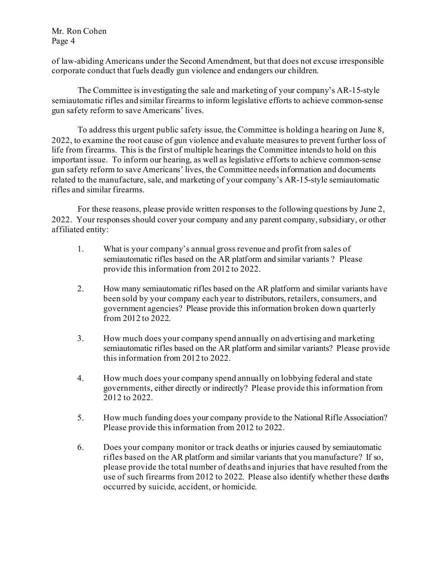of law-abiding Americans under the Second Amendment, but that does not excuse irresponsible corporate conduct that fuels deadly gun violence and endangers our children.

The Committee is investigating the sale and marketing of your company's AR-15-style semiautomatic rifles and similar firearms to inform legislative efforts to achieve common-sense gun safety reform to save Americans' lives.

To address this urgent public safety issue, the Committee is holding a hearing on June 8, 2022, to examine the root cause of gun violence and evaluate measures to prevent further loss of life from firearms. This is the first of multiple hearings the Committee intends to hold on this important issue. To inform our hearing, as well as legislative efforts to achieve common-sense gun safety reform to save Americans' lives, the Committee needs information and documents related to the manufacture, sale, and marketing of your company's AR-15-style semiautomatic rifles and similar firearms.

For these reasons, please provide written responses to the following questions by June 2, 2022. Your responses should cover your company and any parent company, subsidiary, or other affiliated entity:

- 1. What is your company's annual gross revenue and profit from sales of semiautomatic rifles based on the AR platform and similar variants ? Please provide this information from 2012 to 2022.
- 2. How many semiautomatic rifles based on the AR platform and similar variants have been sold by your company each year to distributors, retailers, consumers, and government agencies? Please provide this information broken down quarterly from 2012 to 2022.
- 3. How much does your company spend annually on advertising and marketing semiautomatic rifles based on the AR platform and similar variants? Please provide this information from 2012 to 2022.
- 4. How much does your company spend annually on lobbying federal and state governments, either directly or indirectly? Please provide this information from 2012 to 2022.
- 5. How much funding does your company provide to the National Rifle Association? Please provide this information from 2012 to 2022.
- 6. Does your company monitor or track deaths or injuries caused by semiautomatic rifles based on the AR platform and similar variants that you manufacture? If so, please provide the total number of deaths and injuries that have resulted from the use of such firearms from 2012 to 2022. Please also identify whether these deaths occurred by suicide, accident, or homicide.